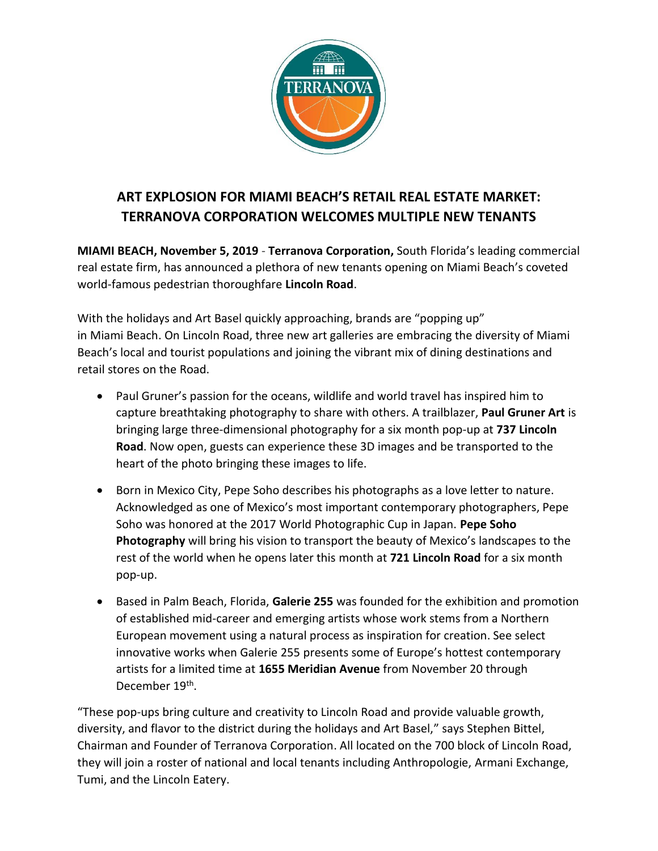

## **ART EXPLOSION FOR MIAMI BEACH'S RETAIL REAL ESTATE MARKET: TERRANOVA CORPORATION WELCOMES MULTIPLE NEW TENANTS**

**MIAMI BEACH, November 5, 2019** - **Terranova Corporation,** South Florida's leading commercial real estate firm, has announced a plethora of new tenants opening on Miami Beach's coveted world-famous pedestrian thoroughfare **Lincoln Road**.

With the holidays and Art Basel quickly approaching, brands are "popping up" in Miami Beach. On Lincoln Road, three new art galleries are embracing the diversity of Miami Beach's local and tourist populations and joining the vibrant mix of dining destinations and retail stores on the Road.

- Paul Gruner's passion for the oceans, wildlife and world travel has inspired him to capture breathtaking photography to share with others. A trailblazer, **Paul Gruner Art** is bringing large three-dimensional photography for a six month pop-up at **737 Lincoln Road**. Now open, guests can experience these 3D images and be transported to the heart of the photo bringing these images to life.
- Born in Mexico City, Pepe Soho describes his photographs as a love letter to nature. Acknowledged as one of Mexico's most important contemporary photographers, Pepe Soho was honored at the 2017 World Photographic Cup in Japan. **Pepe Soho Photography** will bring his vision to transport the beauty of Mexico's landscapes to the rest of the world when he opens later this month at **721 Lincoln Road** for a six month pop-up.
- Based in Palm Beach, Florida, **Galerie 255** was founded for the exhibition and promotion of established mid-career and emerging artists whose work stems from a Northern European movement using a natural process as inspiration for creation. See select innovative works when Galerie 255 presents some of Europe's hottest contemporary artists for a limited time at **1655 Meridian Avenue** from November 20 through December 19<sup>th</sup>.

"These pop-ups bring culture and creativity to Lincoln Road and provide valuable growth, diversity, and flavor to the district during the holidays and Art Basel," says Stephen Bittel, Chairman and Founder of Terranova Corporation. All located on the 700 block of Lincoln Road, they will join a roster of national and local tenants including Anthropologie, Armani Exchange, Tumi, and the Lincoln Eatery.